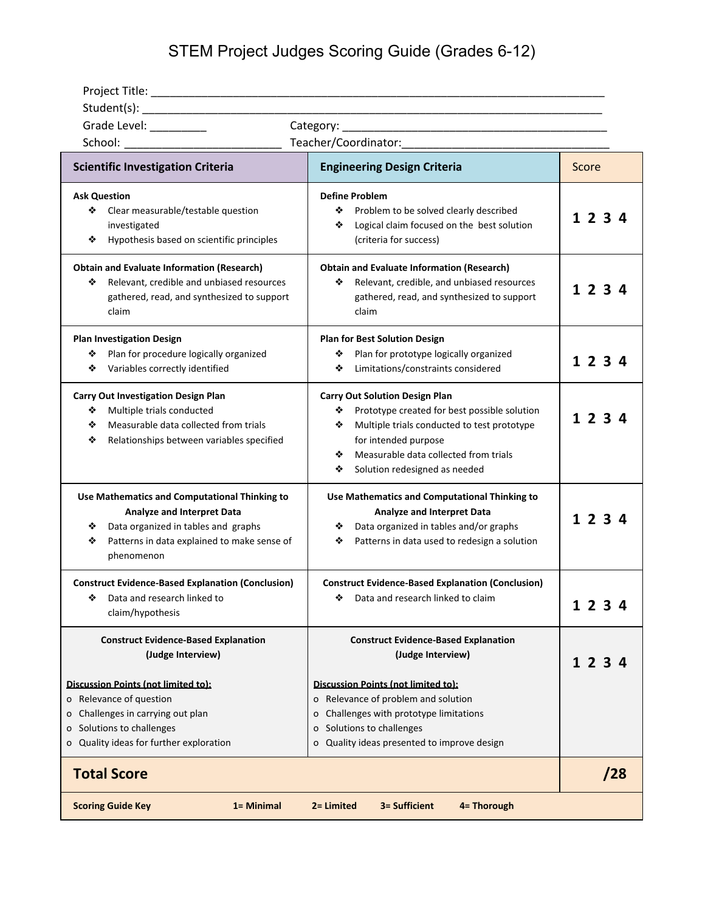## STEM Project Judges Scoring Guide (Grades 6-12)

| Grade Level: _________                                                                                                                                                                           |                                                                                                                                                                                                                                                            |         |
|--------------------------------------------------------------------------------------------------------------------------------------------------------------------------------------------------|------------------------------------------------------------------------------------------------------------------------------------------------------------------------------------------------------------------------------------------------------------|---------|
| School: __________________                                                                                                                                                                       | Teacher/Coordinator:                                                                                                                                                                                                                                       |         |
| <b>Scientific Investigation Criteria</b>                                                                                                                                                         | <b>Engineering Design Criteria</b>                                                                                                                                                                                                                         | Score   |
| <b>Ask Question</b><br>Clear measurable/testable question<br>❖<br>investigated<br>Hypothesis based on scientific principles<br>❖                                                                 | <b>Define Problem</b><br>❖<br>Problem to be solved clearly described<br>Logical claim focused on the best solution<br>❖<br>(criteria for success)                                                                                                          | 1 2 3 4 |
| <b>Obtain and Evaluate Information (Research)</b><br>Relevant, credible and unbiased resources<br>❖<br>gathered, read, and synthesized to support<br>claim                                       | <b>Obtain and Evaluate Information (Research)</b><br>Relevant, credible, and unbiased resources<br>❖<br>gathered, read, and synthesized to support<br>claim                                                                                                | 1234    |
| <b>Plan Investigation Design</b><br>Plan for procedure logically organized<br>❖<br>Variables correctly identified<br>❖                                                                           | <b>Plan for Best Solution Design</b><br>Plan for prototype logically organized<br>❖<br>Limitations/constraints considered<br>❖                                                                                                                             | 1 2 3 4 |
| <b>Carry Out Investigation Design Plan</b><br>Multiple trials conducted<br>❖<br>Measurable data collected from trials<br>❖<br>❖<br>Relationships between variables specified                     | <b>Carry Out Solution Design Plan</b><br>❖<br>Prototype created for best possible solution<br>Multiple trials conducted to test prototype<br>❖<br>for intended purpose<br>Measurable data collected from trials<br>❖<br>❖<br>Solution redesigned as needed | 1 2 3 4 |
| Use Mathematics and Computational Thinking to<br><b>Analyze and Interpret Data</b><br>Data organized in tables and graphs<br>❖<br>Patterns in data explained to make sense of<br>❖<br>phenomenon | Use Mathematics and Computational Thinking to<br><b>Analyze and Interpret Data</b><br>Data organized in tables and/or graphs<br>❖<br>Patterns in data used to redesign a solution<br>❖                                                                     | 1 2 3 4 |
| <b>Construct Evidence-Based Explanation (Conclusion)</b><br>❖ Data and research linked to<br>claim/hypothesis                                                                                    | <b>Construct Evidence-Based Explanation (Conclusion)</b><br>❖ Data and research linked to claim                                                                                                                                                            | 1234    |
| <b>Construct Evidence-Based Explanation</b><br>(Judge Interview)                                                                                                                                 | <b>Construct Evidence-Based Explanation</b><br>(Judge Interview)                                                                                                                                                                                           | 1234    |
| Discussion Points (not limited to):<br>o Relevance of question<br>Challenges in carrying out plan<br>Solutions to challenges<br>$\mathbf{O}$<br>o Quality ideas for further exploration          | Discussion Points (not limited to):<br>o Relevance of problem and solution<br>o Challenges with prototype limitations<br>o Solutions to challenges<br>o Quality ideas presented to improve design                                                          |         |
| <b>Total Score</b>                                                                                                                                                                               |                                                                                                                                                                                                                                                            | /28     |
| 3= Sufficient<br><b>Scoring Guide Key</b><br>1 = Minimal<br>2= Limited<br>4= Thorough                                                                                                            |                                                                                                                                                                                                                                                            |         |